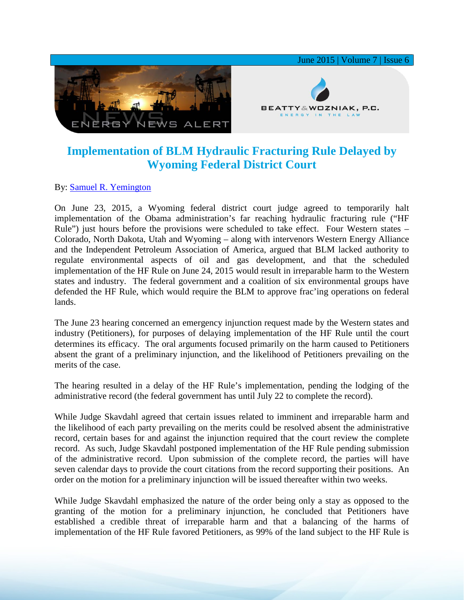

## **Implementation of BLM Hydraulic Fracturing Rule Delayed by Wyoming Federal District Court**

## By: [Samuel R. Yemington](http://www.bwenergylaw.com/#!sam-yemington/cla1)

On June 23, 2015, a Wyoming federal district court judge agreed to temporarily halt implementation of the Obama administration's far reaching hydraulic fracturing rule ("HF Rule") just hours before the provisions were scheduled to take effect. Four Western states – Colorado, North Dakota, Utah and Wyoming – along with intervenors Western Energy Alliance and the Independent Petroleum Association of America, argued that BLM lacked authority to regulate environmental aspects of oil and gas development, and that the scheduled implementation of the HF Rule on June 24, 2015 would result in irreparable harm to the Western states and industry. The federal government and a coalition of six environmental groups have defended the HF Rule, which would require the BLM to approve frac'ing operations on federal lands.

The June 23 hearing concerned an emergency injunction request made by the Western states and industry (Petitioners), for purposes of delaying implementation of the HF Rule until the court determines its efficacy. The oral arguments focused primarily on the harm caused to Petitioners absent the grant of a preliminary injunction, and the likelihood of Petitioners prevailing on the merits of the case.

The hearing resulted in a delay of the HF Rule's implementation, pending the lodging of the administrative record (the federal government has until July 22 to complete the record).

While Judge Skavdahl agreed that certain issues related to imminent and irreparable harm and the likelihood of each party prevailing on the merits could be resolved absent the administrative record, certain bases for and against the injunction required that the court review the complete record. As such, Judge Skavdahl postponed implementation of the HF Rule pending submission of the administrative record. Upon submission of the complete record, the parties will have seven calendar days to provide the court citations from the record supporting their positions. An order on the motion for a preliminary injunction will be issued thereafter within two weeks.

While Judge Skavdahl emphasized the nature of the order being only a stay as opposed to the granting of the motion for a preliminary injunction, he concluded that Petitioners have established a credible threat of irreparable harm and that a balancing of the harms of implementation of the HF Rule favored Petitioners, as 99% of the land subject to the HF Rule is